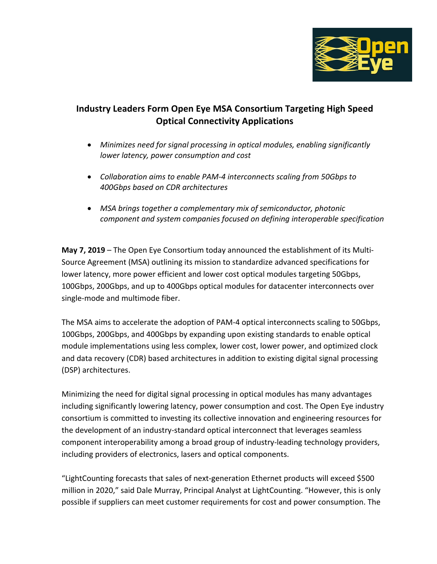

## **Industry Leaders Form Open Eye MSA Consortium Targeting High Speed Optical Connectivity Applications**

- *Minimizes need for signal processing in optical modules, enabling significantly lower latency, power consumption and cost*
- *Collaboration aims to enable PAM-4 interconnects scaling from 50Gbps to 400Gbps based on CDR architectures*
- *MSA brings together a complementary mix of semiconductor, photonic component and system companies focused on defining interoperable specification*

**May 7, 2019** – The Open Eye Consortium today announced the establishment of its Multi-Source Agreement (MSA) outlining its mission to standardize advanced specifications for lower latency, more power efficient and lower cost optical modules targeting 50Gbps, 100Gbps, 200Gbps, and up to 400Gbps optical modules for datacenter interconnects over single-mode and multimode fiber.

The MSA aims to accelerate the adoption of PAM-4 optical interconnects scaling to 50Gbps, 100Gbps, 200Gbps, and 400Gbps by expanding upon existing standards to enable optical module implementations using less complex, lower cost, lower power, and optimized clock and data recovery (CDR) based architectures in addition to existing digital signal processing (DSP) architectures.

Minimizing the need for digital signal processing in optical modules has many advantages including significantly lowering latency, power consumption and cost. The Open Eye industry consortium is committed to investing its collective innovation and engineering resources for the development of an industry-standard optical interconnect that leverages seamless component interoperability among a broad group of industry-leading technology providers, including providers of electronics, lasers and optical components.

"LightCounting forecasts that sales of next-generation Ethernet products will exceed \$500 million in 2020," said Dale Murray, Principal Analyst at LightCounting. "However, this is only possible if suppliers can meet customer requirements for cost and power consumption. The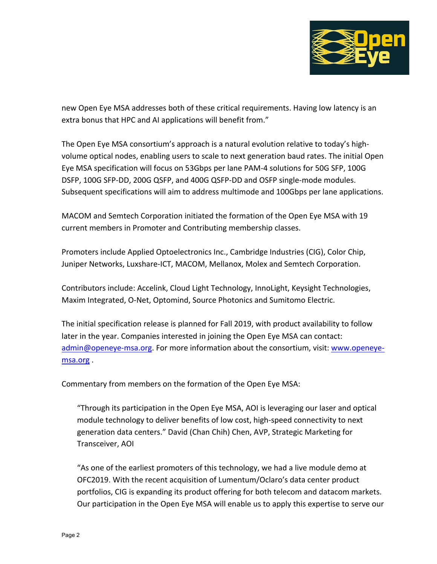

new Open Eye MSA addresses both of these critical requirements. Having low latency is an extra bonus that HPC and AI applications will benefit from."

The Open Eye MSA consortium's approach is a natural evolution relative to today's highvolume optical nodes, enabling users to scale to next generation baud rates. The initial Open Eye MSA specification will focus on 53Gbps per lane PAM-4 solutions for 50G SFP, 100G DSFP, 100G SFP-DD, 200G QSFP, and 400G QSFP-DD and OSFP single-mode modules. Subsequent specifications will aim to address multimode and 100Gbps per lane applications.

MACOM and Semtech Corporation initiated the formation of the Open Eye MSA with 19 current members in Promoter and Contributing membership classes.

Promoters include Applied Optoelectronics Inc., Cambridge Industries (CIG), Color Chip, Juniper Networks, Luxshare-ICT, MACOM, Mellanox, Molex and Semtech Corporation.

Contributors include: Accelink, Cloud Light Technology, InnoLight, Keysight Technologies, Maxim Integrated, O-Net, Optomind, Source Photonics and Sumitomo Electric.

The initial specification release is planned for Fall 2019, with product availability to follow later in the year. Companies interested in joining the Open Eye MSA can contact: admin@openeye-msa.org. For more information about the consortium, visit: www.openeyemsa.org .

Commentary from members on the formation of the Open Eye MSA:

"Through its participation in the Open Eye MSA, AOI is leveraging our laser and optical module technology to deliver benefits of low cost, high-speed connectivity to next generation data centers." David (Chan Chih) Chen, AVP, Strategic Marketing for Transceiver, AOI

"As one of the earliest promoters of this technology, we had a live module demo at OFC2019. With the recent acquisition of Lumentum/Oclaro's data center product portfolios, CIG is expanding its product offering for both telecom and datacom markets. Our participation in the Open Eye MSA will enable us to apply this expertise to serve our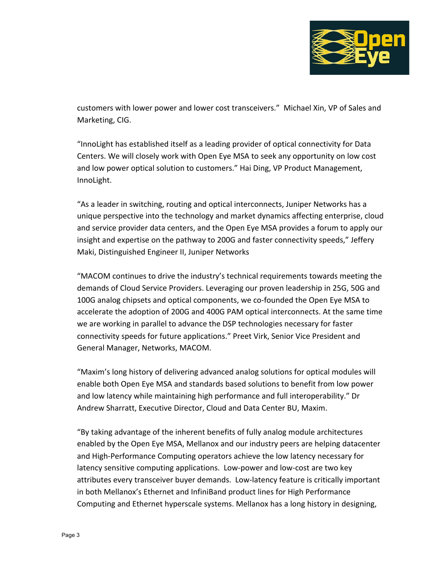

customers with lower power and lower cost transceivers." Michael Xin, VP of Sales and Marketing, CIG.

"InnoLight has established itself as a leading provider of optical connectivity for Data Centers. We will closely work with Open Eye MSA to seek any opportunity on low cost and low power optical solution to customers." Hai Ding, VP Product Management, InnoLight.

"As a leader in switching, routing and optical interconnects, Juniper Networks has a unique perspective into the technology and market dynamics affecting enterprise, cloud and service provider data centers, and the Open Eye MSA provides a forum to apply our insight and expertise on the pathway to 200G and faster connectivity speeds," Jeffery Maki, Distinguished Engineer II, Juniper Networks

"MACOM continues to drive the industry's technical requirements towards meeting the demands of Cloud Service Providers. Leveraging our proven leadership in 25G, 50G and 100G analog chipsets and optical components, we co-founded the Open Eye MSA to accelerate the adoption of 200G and 400G PAM optical interconnects. At the same time we are working in parallel to advance the DSP technologies necessary for faster connectivity speeds for future applications." Preet Virk, Senior Vice President and General Manager, Networks, MACOM.

"Maxim's long history of delivering advanced analog solutions for optical modules will enable both Open Eye MSA and standards based solutions to benefit from low power and low latency while maintaining high performance and full interoperability." Dr Andrew Sharratt, Executive Director, Cloud and Data Center BU, Maxim.

"By taking advantage of the inherent benefits of fully analog module architectures enabled by the Open Eye MSA, Mellanox and our industry peers are helping datacenter and High-Performance Computing operators achieve the low latency necessary for latency sensitive computing applications. Low-power and low-cost are two key attributes every transceiver buyer demands. Low-latency feature is critically important in both Mellanox's Ethernet and InfiniBand product lines for High Performance Computing and Ethernet hyperscale systems. Mellanox has a long history in designing,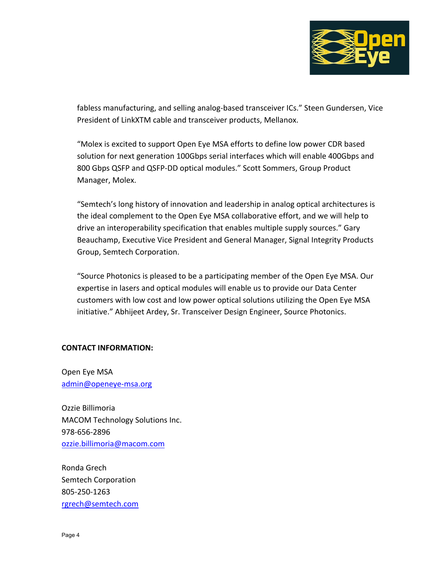

fabless manufacturing, and selling analog-based transceiver ICs." Steen Gundersen, Vice President of LinkXTM cable and transceiver products, Mellanox.

"Molex is excited to support Open Eye MSA efforts to define low power CDR based solution for next generation 100Gbps serial interfaces which will enable 400Gbps and 800 Gbps QSFP and QSFP-DD optical modules." Scott Sommers, Group Product Manager, Molex.

"Semtech's long history of innovation and leadership in analog optical architectures is the ideal complement to the Open Eye MSA collaborative effort, and we will help to drive an interoperability specification that enables multiple supply sources." Gary Beauchamp, Executive Vice President and General Manager, Signal Integrity Products Group, Semtech Corporation.

"Source Photonics is pleased to be a participating member of the Open Eye MSA. Our expertise in lasers and optical modules will enable us to provide our Data Center customers with low cost and low power optical solutions utilizing the Open Eye MSA initiative." Abhijeet Ardey, Sr. Transceiver Design Engineer, Source Photonics.

## **CONTACT INFORMATION:**

Open Eye MSA admin@openeye-msa.org

Ozzie Billimoria MACOM Technology Solutions Inc. 978-656-2896 ozzie.billimoria@macom.com

Ronda Grech Semtech Corporation 805-250-1263 rgrech@semtech.com